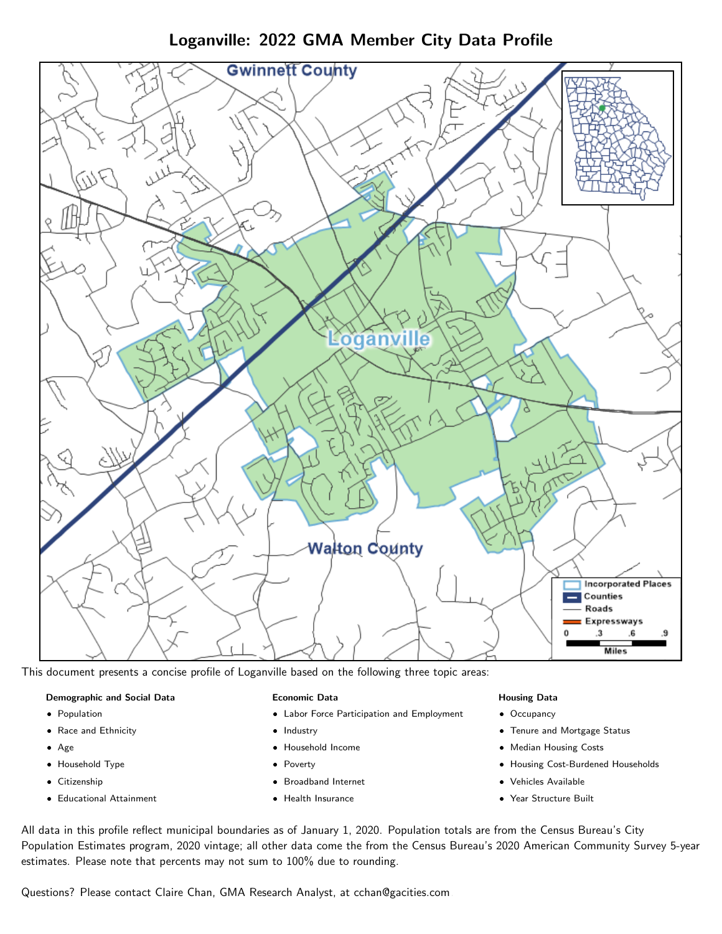Loganville: 2022 GMA Member City Data Profile



This document presents a concise profile of Loganville based on the following three topic areas:

## Demographic and Social Data

- **•** Population
- Race and Ethnicity
- Age
- Household Type
- **Citizenship**
- Educational Attainment

## Economic Data

- Labor Force Participation and Employment
- Industry
- Household Income
- Poverty
- Broadband Internet
- Health Insurance

## Housing Data

- Occupancy
- Tenure and Mortgage Status
- Median Housing Costs
- Housing Cost-Burdened Households
- Vehicles Available
- Year Structure Built

All data in this profile reflect municipal boundaries as of January 1, 2020. Population totals are from the Census Bureau's City Population Estimates program, 2020 vintage; all other data come the from the Census Bureau's 2020 American Community Survey 5-year estimates. Please note that percents may not sum to 100% due to rounding.

Questions? Please contact Claire Chan, GMA Research Analyst, at [cchan@gacities.com.](mailto:cchan@gacities.com)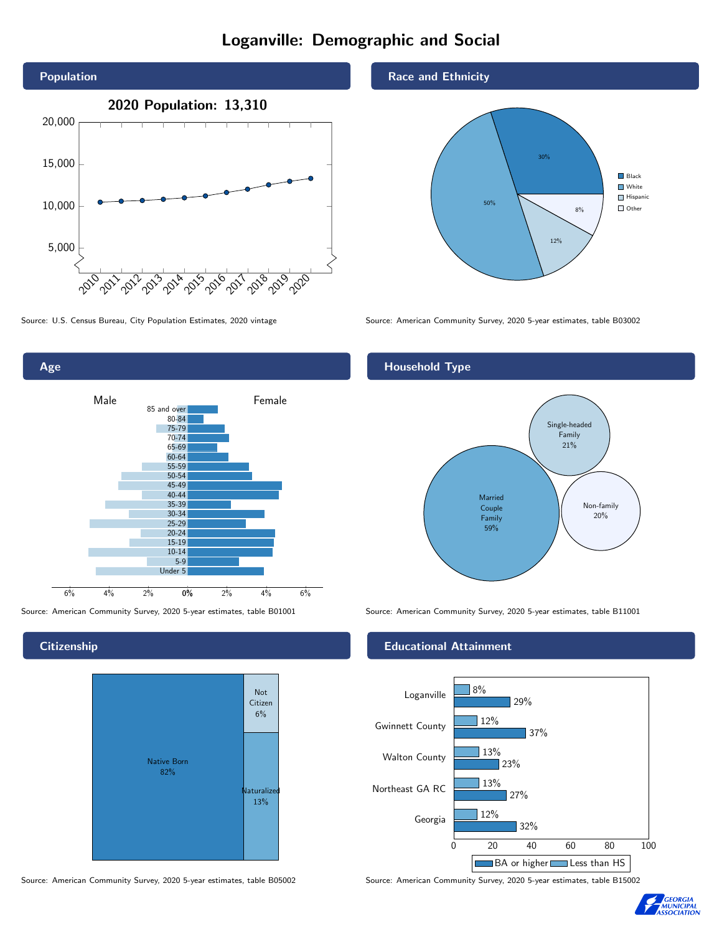# Loganville: Demographic and Social





**Citizenship** 

Age



Source: American Community Survey, 2020 5-year estimates, table B05002 Source: American Community Survey, 2020 5-year estimates, table B15002

#### Race and Ethnicity



Source: U.S. Census Bureau, City Population Estimates, 2020 vintage Source: American Community Survey, 2020 5-year estimates, table B03002

# Household Type



Source: American Community Survey, 2020 5-year estimates, table B01001 Source: American Community Survey, 2020 5-year estimates, table B11001

## Educational Attainment



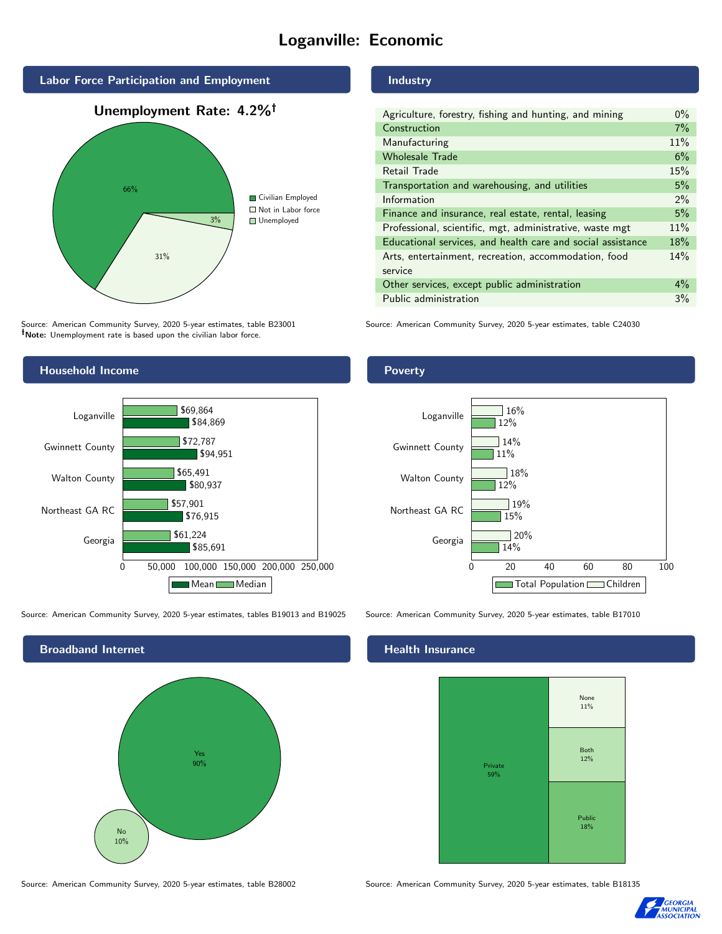# Loganville: Economic



Source: American Community Survey, 2020 5-year estimates, table B23001 Note: Unemployment rate is based upon the civilian labor force.

# Industry

| $0\%$ |
|-------|
| 7%    |
| 11%   |
| 6%    |
| 15%   |
| 5%    |
| $2\%$ |
| 5%    |
| 11%   |
| 18%   |
| 14%   |
|       |
| $4\%$ |
| 3%    |
|       |

Source: American Community Survey, 2020 5-year estimates, table C24030



Source: American Community Survey, 2020 5-year estimates, tables B19013 and B19025 Source: American Community Survey, 2020 5-year estimates, table B17010



Source: American Community Survey, 2020 5-year estimates, table B28002 Source: American Community Survey, 2020 5-year estimates, table B18135

#### Health Insurance